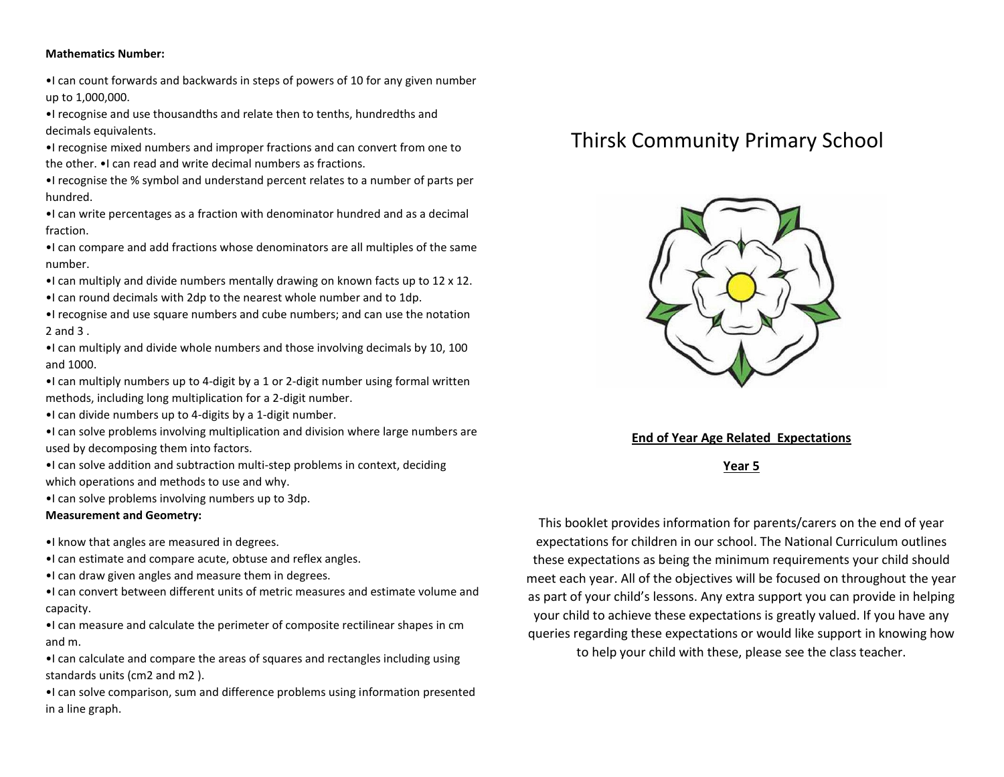#### **Mathematics Number:**

•I can count forwards and backwards in steps of powers of 10 for any given number up to 1,000,000.

•I recognise and use thousandths and relate then to tenths, hundredths and decimals equivalents.

•I recognise mixed numbers and improper fractions and can convert from one to the other. •I can read and write decimal numbers as fractions.

•I recognise the % symbol and understand percent relates to a number of parts per hundred.

•I can write percentages as a fraction with denominator hundred and as a decimal fraction.

•I can compare and add fractions whose denominators are all multiples of the same number.

- •I can multiply and divide numbers mentally drawing on known facts up to 12 x 12.
- •I can round decimals with 2dp to the nearest whole number and to 1dp.

•I recognise and use square numbers and cube numbers; and can use the notation 2 and 3 .

•I can multiply and divide whole numbers and those involving decimals by 10, 100 and 1000.

- •I can multiply numbers up to 4-digit by a 1 or 2-digit number using formal written methods, including long multiplication for a 2-digit number.
- •I can divide numbers up to 4-digits by a 1-digit number.

•I can solve problems involving multiplication and division where large numbers are used by decomposing them into factors.

•I can solve addition and subtraction multi-step problems in context, deciding which operations and methods to use and why.

•I can solve problems involving numbers up to 3dp.

#### **Measurement and Geometry:**

- •I know that angles are measured in degrees.
- •I can estimate and compare acute, obtuse and reflex angles.
- •I can draw given angles and measure them in degrees.
- •I can convert between different units of metric measures and estimate volume and capacity.

•I can measure and calculate the perimeter of composite rectilinear shapes in cm and m.

•I can calculate and compare the areas of squares and rectangles including using standards units (cm2 and m2 ).

•I can solve comparison, sum and difference problems using information presented in a line graph.

# Thirsk Community Primary School



### **End of Year Age Related Expectations**

**Year 5**

This booklet provides information for parents/carers on the end of year expectations for children in our school. The National Curriculum outlines these expectations as being the minimum requirements your child should meet each year. All of the objectives will be focused on throughout the year as part of your child's lessons. Any extra support you can provide in helping your child to achieve these expectations is greatly valued. If you have any queries regarding these expectations or would like support in knowing how to help your child with these, please see the class teacher.